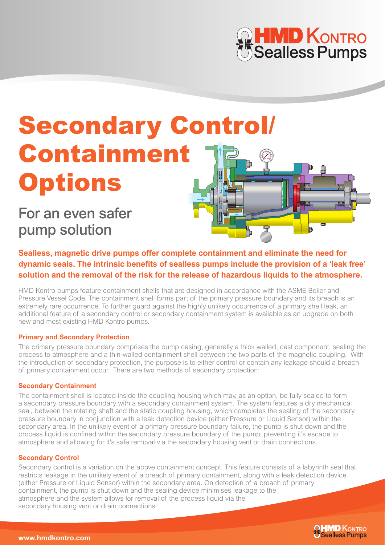# **HMD KONTRO**<br>Sealless Pumps

# Secondary Control/ Containment **Options**

For an even safer pump solution

**Sealless, magnetic drive pumps offer complete containment and eliminate the need for dynamic seals. The intrinsic benefits of sealless pumps include the provision of a 'leak free' solution and the removal of the risk for the release of hazardous liquids to the atmosphere.** 

HMD Kontro pumps feature containment shells that are designed in accordance with the ASME Boiler and Pressure Vessel Code. The containment shell forms part of the primary pressure boundary and its breach is an extremely rare occurrence. To further guard against the highly unlikely occurrence of a primary shell leak, an additional feature of a secondary control or secondary containment system is available as an upgrade on both new and most existing HMD Kontro pumps.

# **Primary and Secondary Protection**

The primary pressure boundary comprises the pump casing, generally a thick walled, cast component, sealing the process to atmosphere and a thin-walled containment shell between the two parts of the magnetic coupling. With the introduction of secondary protection, the purpose is to either control or contain any leakage should a breach of primary containment occur. There are two methods of secondary protection:

#### **Secondary Containment**

The containment shell is located inside the coupling housing which may, as an option, be fully sealed to form a secondary pressure boundary with a secondary containment system. The system features a dry mechanical seal, between the rotating shaft and the static coupling housing, which completes the sealing of the secondary pressure boundary in conjunction with a leak detection device (either Pressure or Liquid Sensor) within the secondary area. In the unlikely event of a primary pressure boundary failure, the pump is shut down and the process liquid is confined within the secondary pressure boundary of the pump, preventing it's escape to atmosphere and allowing for it's safe removal via the secondary housing vent or drain connections.

#### **Secondary Control**

Secondary control is a variation on the above containment concept. This feature consists of a labyrinth seal that restricts leakage in the unlikely event of a breach of primary containment, along with a leak detection device (either Pressure or Liquid Sensor) within the secondary area. On detection of a breach of primary containment, the pump is shut down and the sealing device minimises leakage to the atmosphere and the system allows for removal of the process liquid via the secondary housing vent or drain connections.